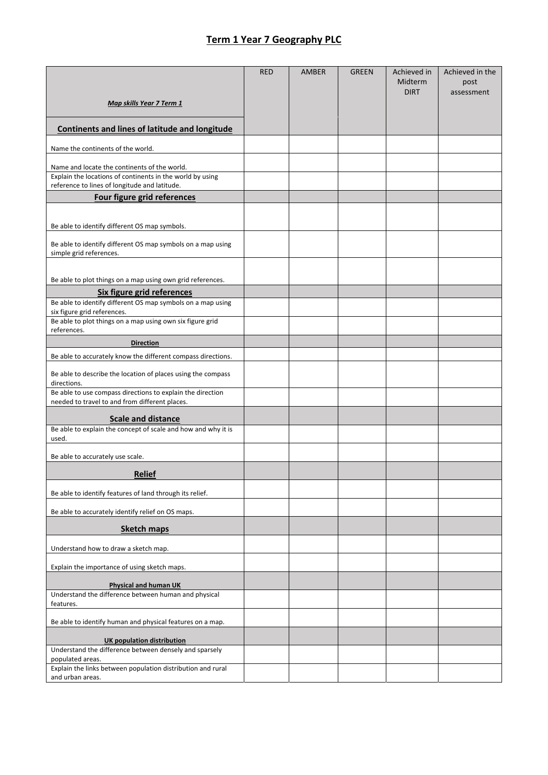## **Term 1 Year 7 Geography PLC**

|                                                                                                              | <b>RED</b> | <b>AMBER</b> | <b>GREEN</b> | Achieved in            | Achieved in the    |
|--------------------------------------------------------------------------------------------------------------|------------|--------------|--------------|------------------------|--------------------|
|                                                                                                              |            |              |              | Midterm<br><b>DIRT</b> | post<br>assessment |
| Map skills Year 7 Term 1                                                                                     |            |              |              |                        |                    |
| <b>Continents and lines of latitude and longitude</b>                                                        |            |              |              |                        |                    |
| Name the continents of the world.                                                                            |            |              |              |                        |                    |
| Name and locate the continents of the world.                                                                 |            |              |              |                        |                    |
| Explain the locations of continents in the world by using<br>reference to lines of longitude and latitude.   |            |              |              |                        |                    |
| Four figure grid references                                                                                  |            |              |              |                        |                    |
|                                                                                                              |            |              |              |                        |                    |
| Be able to identify different OS map symbols.                                                                |            |              |              |                        |                    |
| Be able to identify different OS map symbols on a map using<br>simple grid references.                       |            |              |              |                        |                    |
|                                                                                                              |            |              |              |                        |                    |
| Be able to plot things on a map using own grid references.<br>Six figure grid references                     |            |              |              |                        |                    |
| Be able to identify different OS map symbols on a map using                                                  |            |              |              |                        |                    |
| six figure grid references.<br>Be able to plot things on a map using own six figure grid                     |            |              |              |                        |                    |
| references.                                                                                                  |            |              |              |                        |                    |
| <b>Direction</b><br>Be able to accurately know the different compass directions.                             |            |              |              |                        |                    |
|                                                                                                              |            |              |              |                        |                    |
| Be able to describe the location of places using the compass<br>directions.                                  |            |              |              |                        |                    |
| Be able to use compass directions to explain the direction<br>needed to travel to and from different places. |            |              |              |                        |                    |
| <b>Scale and distance</b>                                                                                    |            |              |              |                        |                    |
| Be able to explain the concept of scale and how and why it is<br>used.                                       |            |              |              |                        |                    |
| Be able to accurately use scale.                                                                             |            |              |              |                        |                    |
| <b>Relief</b>                                                                                                |            |              |              |                        |                    |
| Be able to identify features of land through its relief.                                                     |            |              |              |                        |                    |
| Be able to accurately identify relief on OS maps.                                                            |            |              |              |                        |                    |
| <b>Sketch maps</b>                                                                                           |            |              |              |                        |                    |
| Understand how to draw a sketch map.                                                                         |            |              |              |                        |                    |
| Explain the importance of using sketch maps.                                                                 |            |              |              |                        |                    |
| Physical and human UK                                                                                        |            |              |              |                        |                    |
| Understand the difference between human and physical<br>features.                                            |            |              |              |                        |                    |
| Be able to identify human and physical features on a map.                                                    |            |              |              |                        |                    |
| <b>UK population distribution</b>                                                                            |            |              |              |                        |                    |
| Understand the difference between densely and sparsely                                                       |            |              |              |                        |                    |
| populated areas.<br>Explain the links between population distribution and rural                              |            |              |              |                        |                    |
| and urban areas.                                                                                             |            |              |              |                        |                    |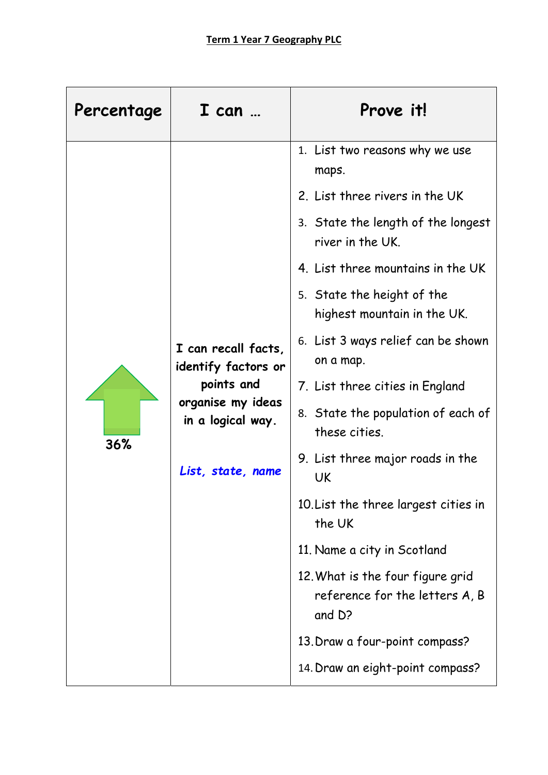| Percentage                                                         | $I$ can $$                                                                   | Prove it!                         |  |  |
|--------------------------------------------------------------------|------------------------------------------------------------------------------|-----------------------------------|--|--|
|                                                                    | 1. List two reasons why we use<br>maps.                                      |                                   |  |  |
|                                                                    |                                                                              | 2. List three rivers in the UK    |  |  |
|                                                                    | 3. State the length of the longest<br>river in the UK.                       |                                   |  |  |
|                                                                    |                                                                              | 4. List three mountains in the UK |  |  |
| I can recall facts,<br>identify factors or                         | 5. State the height of the<br>highest mountain in the UK.                    |                                   |  |  |
|                                                                    | 6. List 3 ways relief can be shown<br>on a map.                              |                                   |  |  |
|                                                                    | points and                                                                   | 7. List three cities in England   |  |  |
| organise my ideas<br>in a logical way.<br>36%<br>List, state, name | 8. State the population of each of<br>these cities.                          |                                   |  |  |
|                                                                    | 9. List three major roads in the<br>UK                                       |                                   |  |  |
|                                                                    | 10. List the three largest cities in<br>the UK                               |                                   |  |  |
|                                                                    | 11. Name a city in Scotland                                                  |                                   |  |  |
|                                                                    | 12. What is the four figure grid<br>reference for the letters A, B<br>and D? |                                   |  |  |
|                                                                    | 13. Draw a four-point compass?                                               |                                   |  |  |
|                                                                    | 14. Draw an eight-point compass?                                             |                                   |  |  |